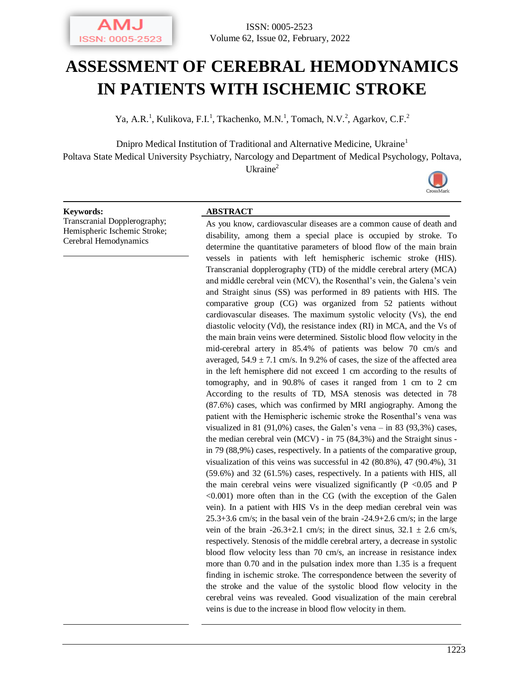

# **ASSESSMENT OF CEREBRAL HEMODYNAMICS IN PATIENTS WITH ISCHEMIC STROKE**

Ya, A.R.<sup>1</sup>, Kulikova, F.I.<sup>1</sup>, Tkachenko, M.N.<sup>1</sup>, Tomach, N.V.<sup>2</sup>, Agarkov, C.F.<sup>2</sup>

Dnipro Medical Institution of Traditional and Alternative Medicine, Ukraine<sup>1</sup> Poltava State Medical University Psychiatry, Narcology and Department of Medical Psychology, Poltava, Ukraine<sup>2</sup>



Transcranial Dopplerography; Hemispheric Ischemic Stroke; Cerebral Hemodynamics

#### **Keywords: ABSTRACT**

As you know, cardiovascular diseases are a common cause of death and disability, among them a special place is occupied by stroke. To determine the quantitative parameters of blood flow of the main brain vessels in patients with left hemispheric ischemic stroke (HIS). Transcranial dopplerography (TD) of the middle cerebral artery (MCA) and middle cerebral vein (MCV), the Rosenthal's vein, the Galena's vein and Straight sinus (SS) was performed in 89 patients with HIS. The comparative group (CG) was organized from 52 patients without cardiovascular diseases. The maximum systolic velocity (Vs), the end diastolic velocity (Vd), the resistance index (RI) in MCA, and the Vs of the main brain veins were determined. Sistolic blood flow velocity in the mid-cerebral artery in 85.4% of patients was below 70 cm/s and averaged,  $54.9 \pm 7.1$  cm/s. In 9.2% of cases, the size of the affected area in the left hemisphere did not exceed 1 cm according to the results of tomography, and in 90.8% of cases it ranged from 1 cm to 2 cm According to the results of TD, MSA stenosis was detected in 78 (87.6%) cases, which was confirmed by MRI angiography. Among the patient with the Hemispheric ischemic stroke the Rosenthal's vena was visualized in 81 (91,0%) cases, the Galen's vena  $-$  in 83 (93,3%) cases, the median cerebral vein (MCV) - in 75 (84,3%) and the Straight sinus in 79 (88,9%) cases, respectively. In a patients of the comparative group, visualization of this veins was successful in 42 (80.8%), 47 (90.4%), 31 (59.6%) and 32 (61.5%) cases, respectively. In a patients with HIS, all the main cerebral veins were visualized significantly  $(P < 0.05$  and P  $\leq 0.001$ ) more often than in the CG (with the exception of the Galen vein). In a patient with HIS Vs in the deep median cerebral vein was 25.3+3.6 cm/s; in the basal vein of the brain -24.9+2.6 cm/s; in the large vein of the brain -26.3+2.1 cm/s; in the direct sinus,  $32.1 \pm 2.6$  cm/s, respectively. Stenosis of the middle cerebral artery, a decrease in systolic blood flow velocity less than 70 cm/s, an increase in resistance index more than 0.70 and in the pulsation index more than 1.35 is a frequent finding in ischemic stroke. The correspondence between the severity of the stroke and the value of the systolic blood flow velocity in the cerebral veins was revealed. Good visualization of the main cerebral veins is due to the increase in blood flow velocity in them.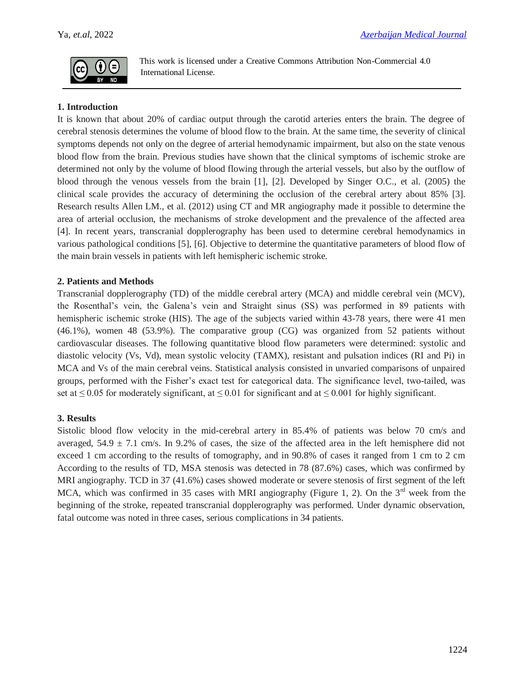

This work is licensed under a Creative Commons Attribution Non-Commercial 4.0 International License.

# **1. Introduction**

It is known that about 20% of cardiac output through the carotid arteries enters the brain. The degree of cerebral stenosis determines the volume of blood flow to the brain. At the same time, the severity of clinical symptoms depends not only on the degree of arterial hemodynamic impairment, but also on the state venous blood flow from the brain. Previous studies have shown that the clinical symptoms of ischemic stroke are determined not only by the volume of blood flowing through the arterial vessels, but also by the outflow of blood through the venous vessels from the brain [1], [2]. Developed by Singer O.C., et al. (2005) the clinical scale provides the accuracy of determining the occlusion of the cerebral artery about 85% [3]. Research results Allen LM., et al. (2012) using CT and MR angiography made it possible to determine the area of arterial occlusion, the mechanisms of stroke development and the prevalence of the affected area [4]. In recent years, transcranial dopplerography has been used to determine cerebral hemodynamics in various pathological conditions [5], [6]. Objective to determine the quantitative parameters of blood flow of the main brain vessels in patients with left hemispheric ischemic stroke.

## **2. Patients and Methods**

Transcranial dopplerography (TD) of the middle cerebral artery (MCA) and middle cerebral vein (MCV), the Rosenthal's vein, the Galena's vein and Straight sinus (SS) was performed in 89 patients with hemispheric ischemic stroke (HIS). The age of the subjects varied within 43-78 years, there were 41 men (46.1%), women 48 (53.9%). The comparative group (CG) was organized from 52 patients without cardiovascular diseases. The following quantitative blood flow parameters were determined: systolic and diastolic velocity (Vs, Vd), mean systolic velocity (TAMX), resistant and pulsation indices (RI and Pi) in MCA and Vs of the main cerebral veins. Statistical analysis consisted in unvaried comparisons of unpaired groups, performed with the Fisher's exact test for categorical data. The significance level, two-tailed, was set at  $\leq$  0.05 for moderately significant, at  $\leq$  0.01 for significant and at  $\leq$  0.001 for highly significant.

## **3. Results**

Sistolic blood flow velocity in the mid-cerebral artery in 85.4% of patients was below 70 cm/s and averaged,  $54.9 \pm 7.1$  cm/s. In 9.2% of cases, the size of the affected area in the left hemisphere did not exceed 1 cm according to the results of tomography, and in 90.8% of cases it ranged from 1 cm to 2 cm According to the results of TD, MSA stenosis was detected in 78 (87.6%) cases, which was confirmed by MRI angiography. TCD in 37 (41.6%) cases showed moderate or severe stenosis of first segment of the left MCA, which was confirmed in 35 cases with MRI angiography (Figure 1, 2). On the  $3<sup>rd</sup>$  week from the beginning of the stroke, repeated transcranial dopplerography was performed. Under dynamic observation, fatal outcome was noted in three cases, serious complications in 34 patients.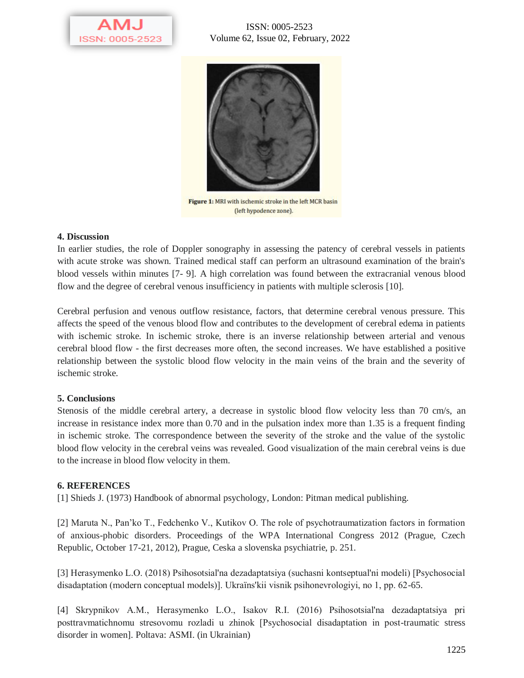

ISSN: 0005-2523 Volume 62, Issue 02, February, 2022



Figure 1: MRI with ischemic stroke in the left MCR basin (left hypodence zone).

#### **4. Discussion**

In earlier studies, the role of Doppler sonography in assessing the patency of cerebral vessels in patients with acute stroke was shown. Trained medical staff can perform an ultrasound examination of the brain's blood vessels within minutes [7- 9]. A high correlation was found between the extracranial venous blood flow and the degree of cerebral venous insufficiency in patients with multiple sclerosis [10].

Cerebral perfusion and venous outflow resistance, factors, that determine cerebral venous pressure. This affects the speed of the venous blood flow and contributes to the development of cerebral edema in patients with ischemic stroke. In ischemic stroke, there is an inverse relationship between arterial and venous cerebral blood flow - the first decreases more often, the second increases. We have established a positive relationship between the systolic blood flow velocity in the main veins of the brain and the severity of ischemic stroke.

## **5. Conclusions**

Stenosis of the middle cerebral artery, a decrease in systolic blood flow velocity less than 70 cm/s, an increase in resistance index more than 0.70 and in the pulsation index more than 1.35 is a frequent finding in ischemic stroke. The correspondence between the severity of the stroke and the value of the systolic blood flow velocity in the cerebral veins was revealed. Good visualization of the main cerebral veins is due to the increase in blood flow velocity in them.

## **6. REFERENCES**

[1] Shieds J. (1973) Handbook of abnormal psychology, London: Pitman medical publishing.

[2] Maruta N., Pan'ko T., Fedchenko V., Kutikov O. The role of psychotraumatization factors in formation of anxious-phobic disorders. Proceedings of the WPA International Congress 2012 (Prague, Czech Republic, October 17-21, 2012), Prague, Ceska a slovenska psychiatrie, p. 251.

[3] Herasymenko L.O. (2018) Psihosotsіal'na dezadaptatsіya (suchasnі kontseptual'nі modelі) [Psychosocial disadaptation (modern conceptual models)]. Ukraїns'kii vіsnik psihonevrologіyi, no 1, pp. 62-65.

[4] Skrypnіkov A.M., Herasymenko L.O., Іsakov R.І. (2016) Psihosotsіal'na dezadaptatsіya pri posttravmatichnomu stresovomu rozladі u zhіnok [Psychosocial disadaptation in post-traumatic stress disorder in women]. Poltava: ASMI. (in Ukrainian)